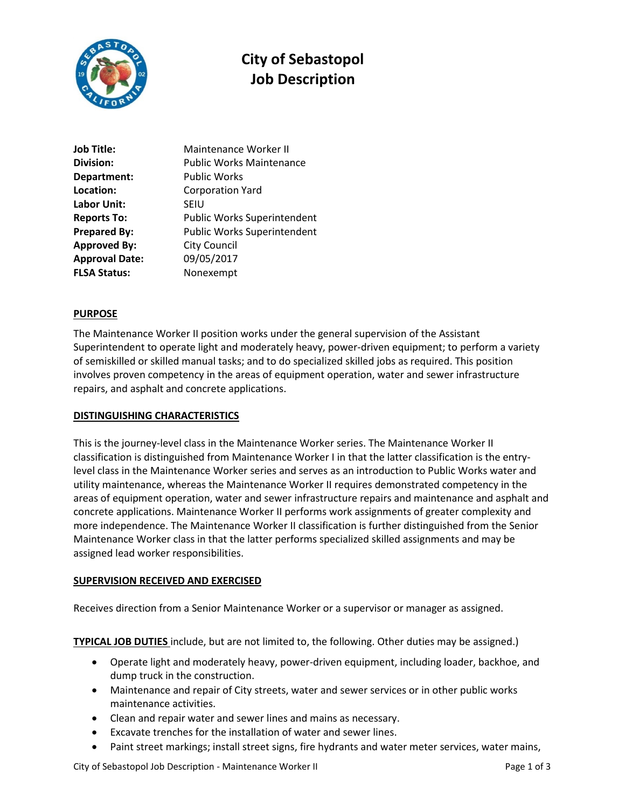

# **City of Sebastopol Job Description**

| Job Title:            | Maintenance Worker II           |
|-----------------------|---------------------------------|
| Division:             | <b>Public Works Maintenance</b> |
| Department:           | <b>Public Works</b>             |
| Location:             | <b>Corporation Yard</b>         |
| Labor Unit:           | <b>SEIU</b>                     |
| <b>Reports To:</b>    | Public Works Superintendent     |
| <b>Prepared By:</b>   | Public Works Superintendent     |
| <b>Approved By:</b>   | <b>City Council</b>             |
| <b>Approval Date:</b> | 09/05/2017                      |
| <b>FLSA Status:</b>   | Nonexempt                       |

## **PURPOSE**

The Maintenance Worker II position works under the general supervision of the Assistant Superintendent to operate light and moderately heavy, power-driven equipment; to perform a variety of semiskilled or skilled manual tasks; and to do specialized skilled jobs as required. This position involves proven competency in the areas of equipment operation, water and sewer infrastructure repairs, and asphalt and concrete applications.

## **DISTINGUISHING CHARACTERISTICS**

This is the journey-level class in the Maintenance Worker series. The Maintenance Worker II classification is distinguished from Maintenance Worker I in that the latter classification is the entrylevel class in the Maintenance Worker series and serves as an introduction to Public Works water and utility maintenance, whereas the Maintenance Worker II requires demonstrated competency in the areas of equipment operation, water and sewer infrastructure repairs and maintenance and asphalt and concrete applications. Maintenance Worker II performs work assignments of greater complexity and more independence. The Maintenance Worker II classification is further distinguished from the Senior Maintenance Worker class in that the latter performs specialized skilled assignments and may be assigned lead worker responsibilities.

## **SUPERVISION RECEIVED AND EXERCISED**

Receives direction from a Senior Maintenance Worker or a supervisor or manager as assigned.

**TYPICAL JOB DUTIES** include, but are not limited to, the following. Other duties may be assigned.)

- Operate light and moderately heavy, power-driven equipment, including loader, backhoe, and dump truck in the construction.
- Maintenance and repair of City streets, water and sewer services or in other public works maintenance activities.
- Clean and repair water and sewer lines and mains as necessary.
- Excavate trenches for the installation of water and sewer lines.
- Paint street markings; install street signs, fire hydrants and water meter services, water mains,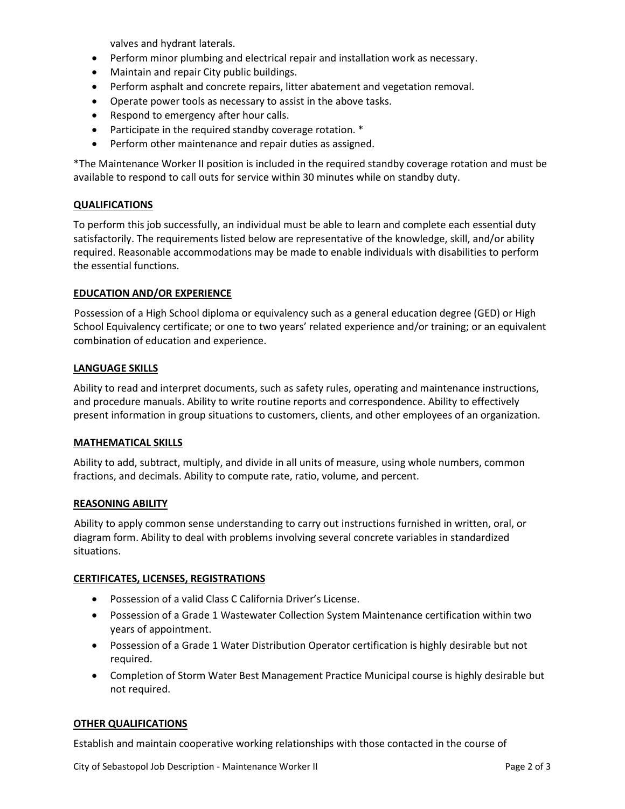valves and hydrant laterals.

- Perform minor plumbing and electrical repair and installation work as necessary.
- Maintain and repair City public buildings.
- Perform asphalt and concrete repairs, litter abatement and vegetation removal.
- Operate power tools as necessary to assist in the above tasks.
- Respond to emergency after hour calls.
- Participate in the required standby coverage rotation. \*
- Perform other maintenance and repair duties as assigned.

\*The Maintenance Worker II position is included in the required standby coverage rotation and must be available to respond to call outs for service within 30 minutes while on standby duty.

## **QUALIFICATIONS**

To perform this job successfully, an individual must be able to learn and complete each essential duty satisfactorily. The requirements listed below are representative of the knowledge, skill, and/or ability required. Reasonable accommodations may be made to enable individuals with disabilities to perform the essential functions.

## **EDUCATION AND/OR EXPERIENCE**

Possession of a High School diploma or equivalency such as a general education degree (GED) or High School Equivalency certificate; or one to two years' related experience and/or training; or an equivalent combination of education and experience.

## **LANGUAGE SKILLS**

Ability to read and interpret documents, such as safety rules, operating and maintenance instructions, and procedure manuals. Ability to write routine reports and correspondence. Ability to effectively present information in group situations to customers, clients, and other employees of an organization.

#### **MATHEMATICAL SKILLS**

Ability to add, subtract, multiply, and divide in all units of measure, using whole numbers, common fractions, and decimals. Ability to compute rate, ratio, volume, and percent.

#### **REASONING ABILITY**

Ability to apply common sense understanding to carry out instructions furnished in written, oral, or diagram form. Ability to deal with problems involving several concrete variables in standardized situations.

#### **CERTIFICATES, LICENSES, REGISTRATIONS**

- Possession of a valid Class C California Driver's License.
- Possession of a Grade 1 Wastewater Collection System Maintenance certification within two years of appointment.
- Possession of a Grade 1 Water Distribution Operator certification is highly desirable but not required.
- Completion of Storm Water Best Management Practice Municipal course is highly desirable but not required.

#### **OTHER QUALIFICATIONS**

Establish and maintain cooperative working relationships with those contacted in the course of